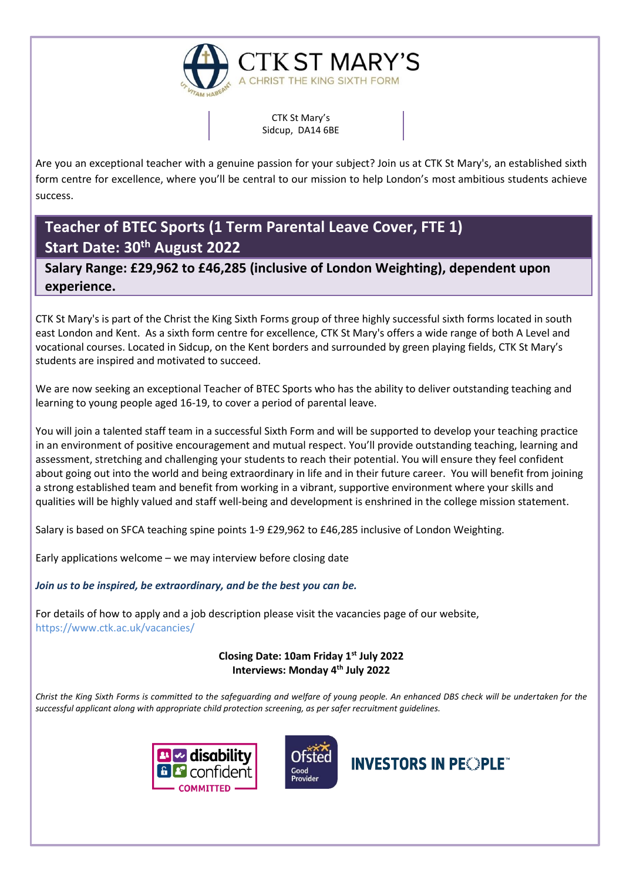

CTK St Mary's Sidcup, DA14 6BE

Are you an exceptional teacher with a genuine passion for your subject? Join us at CTK St Mary's, an established sixth form centre for excellence, where you'll be central to our mission to help London's most ambitious students achieve success.

**Teacher of BTEC Sports (1 Term Parental Leave Cover, FTE 1) Start Date: 30th August 2022**

**Salary Range: £29,962 to £46,285 (inclusive of London Weighting), dependent upon experience.**

CTK St Mary's is part of the Christ the King Sixth Forms group of three highly successful sixth forms located in south east London and Kent. As a sixth form centre for excellence, CTK St Mary's offers a wide range of both A Level and vocational courses. Located in Sidcup, on the Kent borders and surrounded by green playing fields, CTK St Mary's students are inspired and motivated to succeed.

We are now seeking an exceptional Teacher of BTEC Sports who has the ability to deliver outstanding teaching and learning to young people aged 16-19, to cover a period of parental leave.

You will join a talented staff team in a successful Sixth Form and will be supported to develop your teaching practice in an environment of positive encouragement and mutual respect. You'll provide outstanding teaching, learning and assessment, stretching and challenging your students to reach their potential. You will ensure they feel confident about going out into the world and being extraordinary in life and in their future career. You will benefit from joining a strong established team and benefit from working in a vibrant, supportive environment where your skills and qualities will be highly valued and staff well-being and development is enshrined in the college mission statement.

Salary is based on SFCA teaching spine points 1-9 £29,962 to £46,285 inclusive of London Weighting.

Early applications welcome – we may interview before closing date

*Join us to be inspired, be extraordinary, and be the best you can be.*

For details of how to apply and a job description please visit the vacancies page of our website, <https://www.ctk.ac.uk/vacancies/>

> **Closing Date: 10am Friday 1st July 2022 Interviews: Monday 4 th July 2022**

*Christ the King Sixth Forms is committed to the safeguarding and welfare of young people. An enhanced DBS check will be undertaken for the successful applicant along with appropriate child protection screening, as per safer recruitment guidelines.*





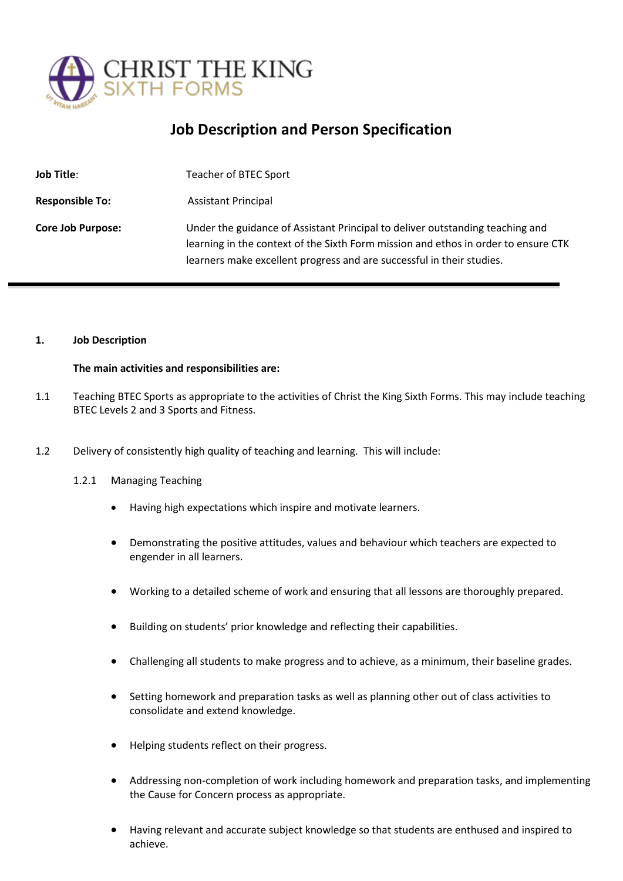

## **Job Description and Person Specification**

| <b>Job Title:</b>        | Teacher of BTEC Sport                                                                                                                                                                                                                        |
|--------------------------|----------------------------------------------------------------------------------------------------------------------------------------------------------------------------------------------------------------------------------------------|
| <b>Responsible To:</b>   | <b>Assistant Principal</b>                                                                                                                                                                                                                   |
| <b>Core Job Purpose:</b> | Under the guidance of Assistant Principal to deliver outstanding teaching and<br>learning in the context of the Sixth Form mission and ethos in order to ensure CTK<br>learners make excellent progress and are successful in their studies. |

#### **1. Job Description**

#### **The main activities and responsibilities are:**

- 1.1 Teaching BTEC Sports as appropriate to the activities of Christ the King Sixth Forms. This may include teaching BTEC Levels 2 and 3 Sports and Fitness.
- 1.2 Delivery of consistently high quality of teaching and learning. This will include:
	- 1.2.1 Managing Teaching
		- Having high expectations which inspire and motivate learners.
		- Demonstrating the positive attitudes, values and behaviour which teachers are expected to engender in all learners.
		- Working to a detailed scheme of work and ensuring that all lessons are thoroughly prepared.
		- Building on students' prior knowledge and reflecting their capabilities.
		- Challenging all students to make progress and to achieve, as a minimum, their baseline grades.
		- Setting homework and preparation tasks as well as planning other out of class activities to consolidate and extend knowledge.
		- Helping students reflect on their progress.
		- Addressing non-completion of work including homework and preparation tasks, and implementing the Cause for Concern process as appropriate.
		- Having relevant and accurate subject knowledge so that students are enthused and inspired to achieve.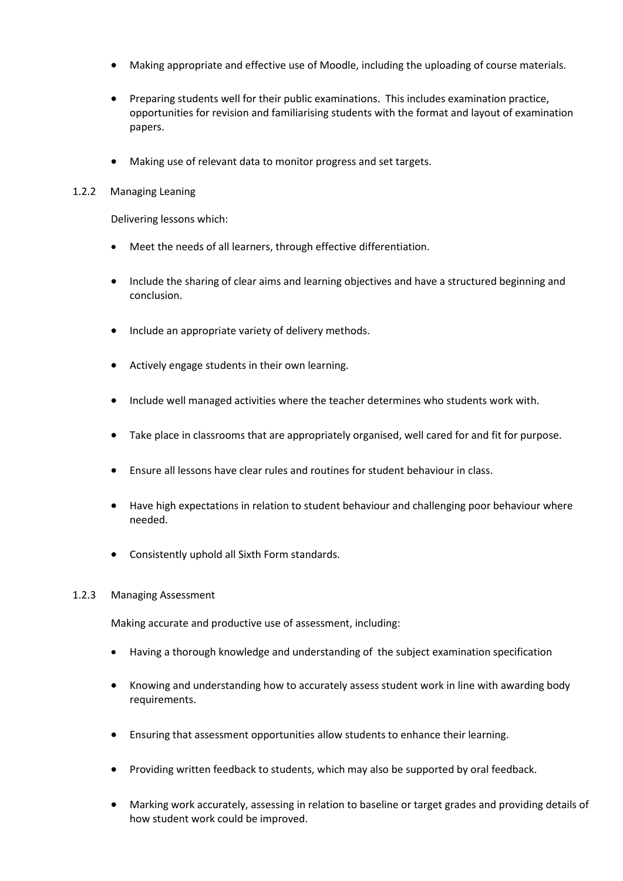- Making appropriate and effective use of Moodle, including the uploading of course materials.
- Preparing students well for their public examinations. This includes examination practice, opportunities for revision and familiarising students with the format and layout of examination papers.
- Making use of relevant data to monitor progress and set targets.

### 1.2.2 Managing Leaning

Delivering lessons which:

- Meet the needs of all learners, through effective differentiation.
- Include the sharing of clear aims and learning objectives and have a structured beginning and conclusion.
- Include an appropriate variety of delivery methods.
- Actively engage students in their own learning.
- Include well managed activities where the teacher determines who students work with.
- Take place in classrooms that are appropriately organised, well cared for and fit for purpose.
- Ensure all lessons have clear rules and routines for student behaviour in class.
- Have high expectations in relation to student behaviour and challenging poor behaviour where needed.
- Consistently uphold all Sixth Form standards.

#### 1.2.3 Managing Assessment

Making accurate and productive use of assessment, including:

- Having a thorough knowledge and understanding of the subject examination specification
- Knowing and understanding how to accurately assess student work in line with awarding body requirements.
- Ensuring that assessment opportunities allow students to enhance their learning.
- Providing written feedback to students, which may also be supported by oral feedback.
- Marking work accurately, assessing in relation to baseline or target grades and providing details of how student work could be improved.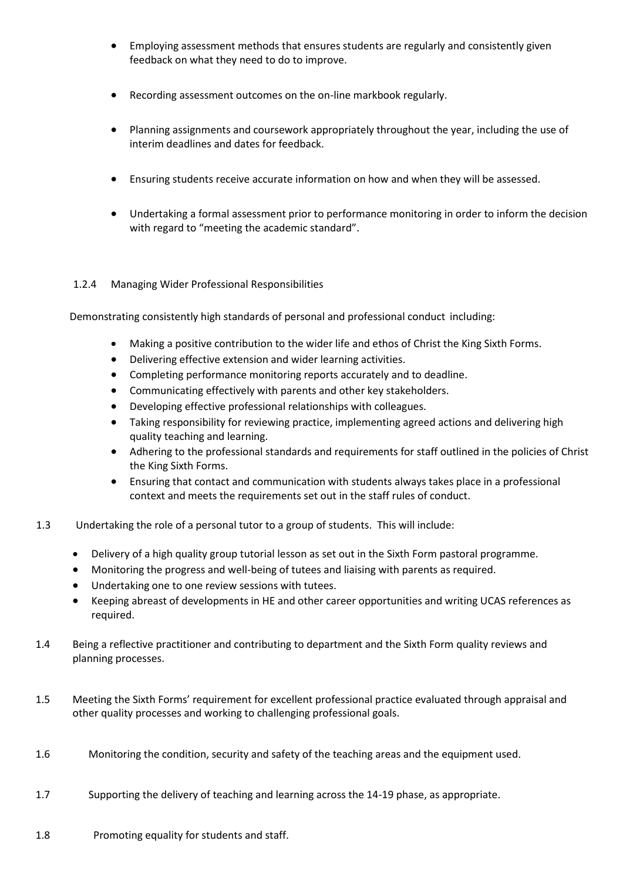- Employing assessment methods that ensures students are regularly and consistently given feedback on what they need to do to improve.
- Recording assessment outcomes on the on-line markbook regularly.
- Planning assignments and coursework appropriately throughout the year, including the use of interim deadlines and dates for feedback.
- Ensuring students receive accurate information on how and when they will be assessed.
- Undertaking a formal assessment prior to performance monitoring in order to inform the decision with regard to "meeting the academic standard".

## 1.2.4 Managing Wider Professional Responsibilities

Demonstrating consistently high standards of personal and professional conduct including:

- Making a positive contribution to the wider life and ethos of Christ the King Sixth Forms.
- Delivering effective extension and wider learning activities.
- Completing performance monitoring reports accurately and to deadline.
- Communicating effectively with parents and other key stakeholders.
- Developing effective professional relationships with colleagues.
- Taking responsibility for reviewing practice, implementing agreed actions and delivering high quality teaching and learning.
- Adhering to the professional standards and requirements for staff outlined in the policies of Christ the King Sixth Forms.
- Ensuring that contact and communication with students always takes place in a professional context and meets the requirements set out in the staff rules of conduct.
- 1.3 Undertaking the role of a personal tutor to a group of students. This will include:
	- Delivery of a high quality group tutorial lesson as set out in the Sixth Form pastoral programme.
	- Monitoring the progress and well-being of tutees and liaising with parents as required.
	- Undertaking one to one review sessions with tutees.
	- Keeping abreast of developments in HE and other career opportunities and writing UCAS references as required.
- 1.4 Being a reflective practitioner and contributing to department and the Sixth Form quality reviews and planning processes.
- 1.5 Meeting the Sixth Forms' requirement for excellent professional practice evaluated through appraisal and other quality processes and working to challenging professional goals.
- 1.6 Monitoring the condition, security and safety of the teaching areas and the equipment used.
- 1.7 Supporting the delivery of teaching and learning across the 14-19 phase, as appropriate.
- 1.8 Promoting equality for students and staff.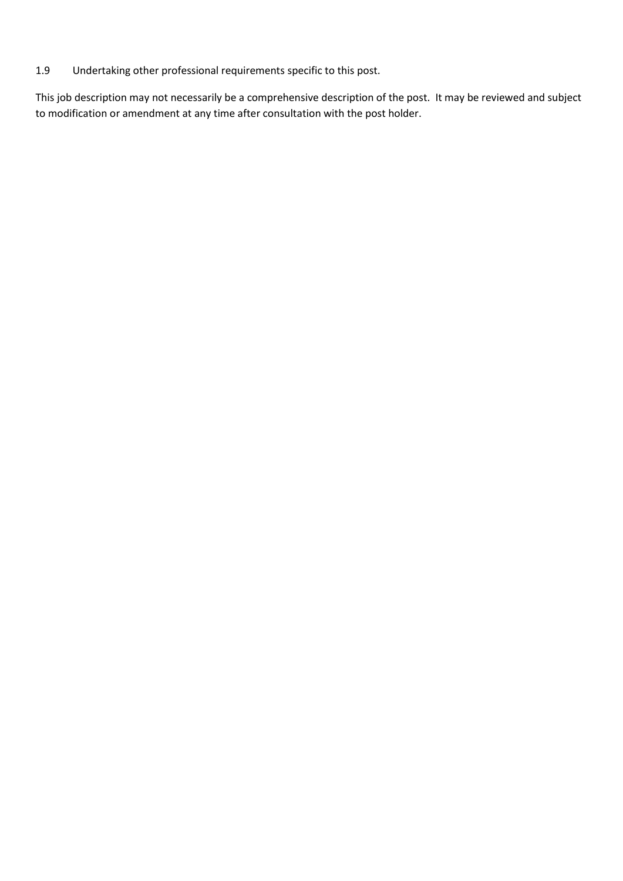## 1.9 Undertaking other professional requirements specific to this post.

This job description may not necessarily be a comprehensive description of the post. It may be reviewed and subject to modification or amendment at any time after consultation with the post holder.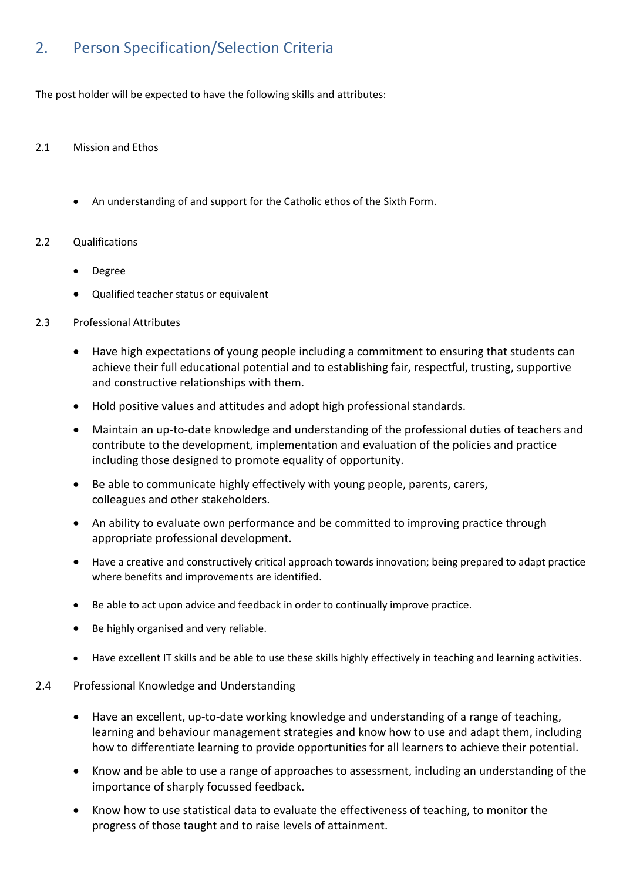# 2. Person Specification/Selection Criteria

The post holder will be expected to have the following skills and attributes:

## 2.1 Mission and Ethos

• An understanding of and support for the Catholic ethos of the Sixth Form.

## 2.2 Qualifications

- Degree
- Qualified teacher status or equivalent
- 2.3 Professional Attributes
	- Have high expectations of young people including a commitment to ensuring that students can achieve their full educational potential and to establishing fair, respectful, trusting, supportive and constructive relationships with them.
	- Hold positive values and attitudes and adopt high professional standards.
	- Maintain an up-to-date knowledge and understanding of the professional duties of teachers and contribute to the development, implementation and evaluation of the policies and practice including those designed to promote equality of opportunity.
	- Be able to communicate highly effectively with young people, parents, carers, colleagues and other stakeholders.
	- An ability to evaluate own performance and be committed to improving practice through appropriate professional development.
	- Have a creative and constructively critical approach towards innovation; being prepared to adapt practice where benefits and improvements are identified.
	- Be able to act upon advice and feedback in order to continually improve practice.
	- Be highly organised and very reliable.
	- Have excellent IT skills and be able to use these skills highly effectively in teaching and learning activities.

## 2.4 Professional Knowledge and Understanding

- Have an excellent, up-to-date working knowledge and understanding of a range of teaching, learning and behaviour management strategies and know how to use and adapt them, including how to differentiate learning to provide opportunities for all learners to achieve their potential.
- Know and be able to use a range of approaches to assessment, including an understanding of the importance of sharply focussed feedback.
- Know how to use statistical data to evaluate the effectiveness of teaching, to monitor the progress of those taught and to raise levels of attainment.